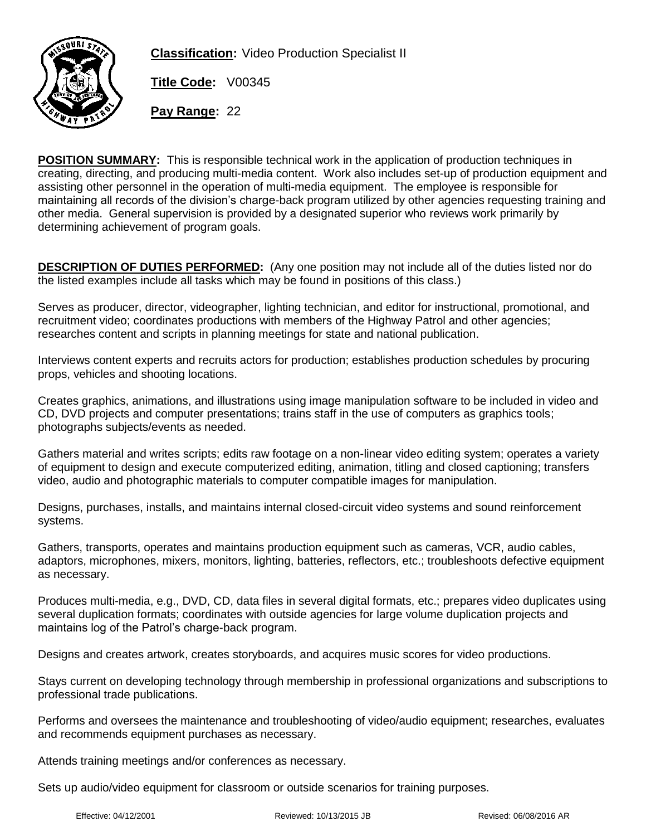

**Classification:** Video Production Specialist II

**Title Code:** V00345

**Pay Range:** 22

**POSITION SUMMARY:** This is responsible technical work in the application of production techniques in creating, directing, and producing multi-media content. Work also includes set-up of production equipment and assisting other personnel in the operation of multi-media equipment. The employee is responsible for maintaining all records of the division's charge-back program utilized by other agencies requesting training and other media. General supervision is provided by a designated superior who reviews work primarily by determining achievement of program goals.

**DESCRIPTION OF DUTIES PERFORMED:** (Any one position may not include all of the duties listed nor do the listed examples include all tasks which may be found in positions of this class.)

Serves as producer, director, videographer, lighting technician, and editor for instructional, promotional, and recruitment video; coordinates productions with members of the Highway Patrol and other agencies; researches content and scripts in planning meetings for state and national publication.

Interviews content experts and recruits actors for production; establishes production schedules by procuring props, vehicles and shooting locations.

Creates graphics, animations, and illustrations using image manipulation software to be included in video and CD, DVD projects and computer presentations; trains staff in the use of computers as graphics tools; photographs subjects/events as needed.

Gathers material and writes scripts; edits raw footage on a non-linear video editing system; operates a variety of equipment to design and execute computerized editing, animation, titling and closed captioning; transfers video, audio and photographic materials to computer compatible images for manipulation.

Designs, purchases, installs, and maintains internal closed-circuit video systems and sound reinforcement systems.

Gathers, transports, operates and maintains production equipment such as cameras, VCR, audio cables, adaptors, microphones, mixers, monitors, lighting, batteries, reflectors, etc.; troubleshoots defective equipment as necessary.

Produces multi-media, e.g., DVD, CD, data files in several digital formats, etc.; prepares video duplicates using several duplication formats; coordinates with outside agencies for large volume duplication projects and maintains log of the Patrol's charge-back program.

Designs and creates artwork, creates storyboards, and acquires music scores for video productions.

Stays current on developing technology through membership in professional organizations and subscriptions to professional trade publications.

Performs and oversees the maintenance and troubleshooting of video/audio equipment; researches, evaluates and recommends equipment purchases as necessary.

Attends training meetings and/or conferences as necessary.

Sets up audio/video equipment for classroom or outside scenarios for training purposes.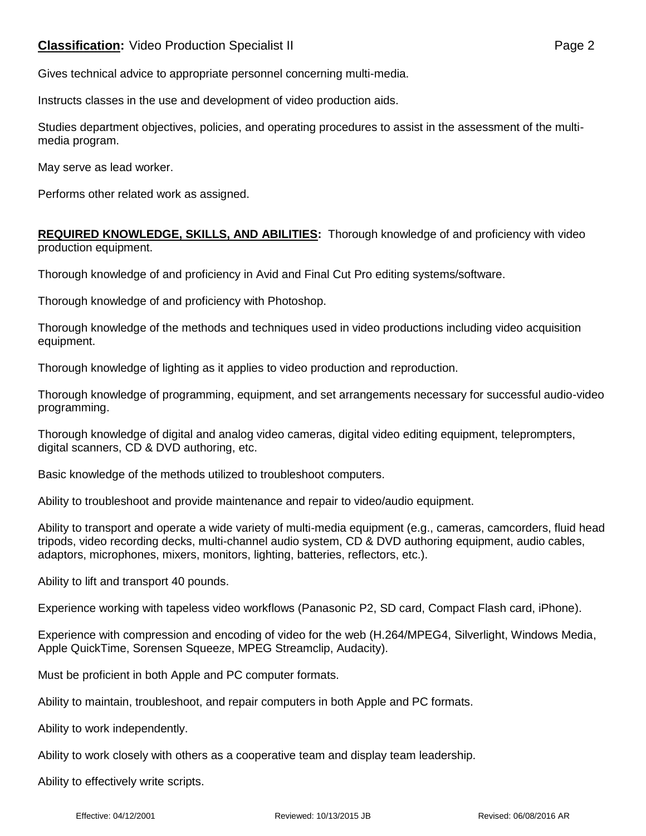Gives technical advice to appropriate personnel concerning multi-media.

Instructs classes in the use and development of video production aids.

Studies department objectives, policies, and operating procedures to assist in the assessment of the multimedia program.

May serve as lead worker.

Performs other related work as assigned.

**REQUIRED KNOWLEDGE, SKILLS, AND ABILITIES:** Thorough knowledge of and proficiency with video production equipment.

Thorough knowledge of and proficiency in Avid and Final Cut Pro editing systems/software.

Thorough knowledge of and proficiency with Photoshop.

Thorough knowledge of the methods and techniques used in video productions including video acquisition equipment.

Thorough knowledge of lighting as it applies to video production and reproduction.

Thorough knowledge of programming, equipment, and set arrangements necessary for successful audio-video programming.

Thorough knowledge of digital and analog video cameras, digital video editing equipment, teleprompters, digital scanners, CD & DVD authoring, etc.

Basic knowledge of the methods utilized to troubleshoot computers.

Ability to troubleshoot and provide maintenance and repair to video/audio equipment.

Ability to transport and operate a wide variety of multi-media equipment (e.g., cameras, camcorders, fluid head tripods, video recording decks, multi-channel audio system, CD & DVD authoring equipment, audio cables, adaptors, microphones, mixers, monitors, lighting, batteries, reflectors, etc.).

Ability to lift and transport 40 pounds.

Experience working with tapeless video workflows (Panasonic P2, SD card, Compact Flash card, iPhone).

Experience with compression and encoding of video for the web (H.264/MPEG4, Silverlight, Windows Media, Apple QuickTime, Sorensen Squeeze, MPEG Streamclip, Audacity).

Must be proficient in both Apple and PC computer formats.

Ability to maintain, troubleshoot, and repair computers in both Apple and PC formats.

Ability to work independently.

Ability to work closely with others as a cooperative team and display team leadership.

Ability to effectively write scripts.